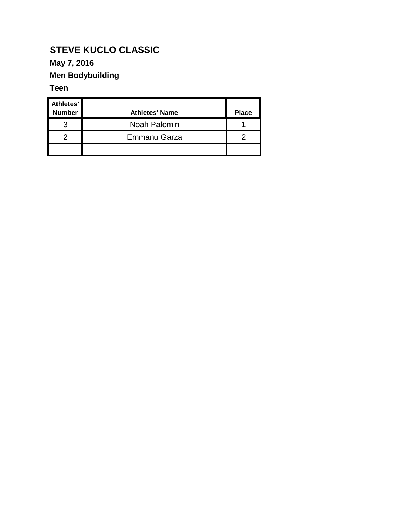### **May 7, 2016**

### **Men Bodybuilding**

#### **Teen**

| Athletes'<br><b>Number</b> | <b>Athletes' Name</b> | <b>Place</b> |
|----------------------------|-----------------------|--------------|
|                            | Noah Palomin          |              |
|                            | Emmanu Garza          |              |
|                            |                       |              |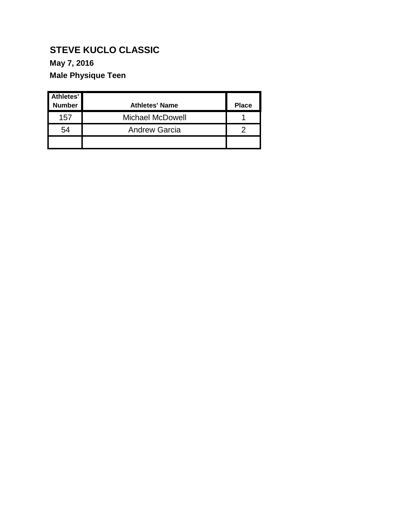### **May 7, 2016**

### **Male Physique Teen**

| Athletes'<br><b>Number</b> | <b>Athletes' Name</b>   | <b>Place</b> |
|----------------------------|-------------------------|--------------|
| 157                        | <b>Michael McDowell</b> |              |
| 54                         | <b>Andrew Garcia</b>    |              |
|                            |                         |              |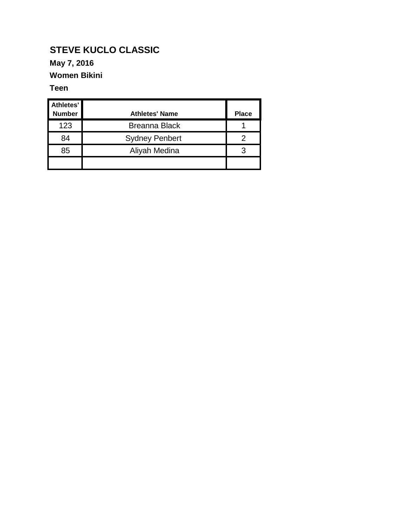### **May 7, 2016**

### **Women Bikini**

#### **Teen**

| Athletes'<br><b>Number</b> | <b>Athletes' Name</b> | <b>Place</b> |
|----------------------------|-----------------------|--------------|
| 123                        | <b>Breanna Black</b>  |              |
| 84                         | <b>Sydney Penbert</b> |              |
| 85                         | Aliyah Medina         |              |
|                            |                       |              |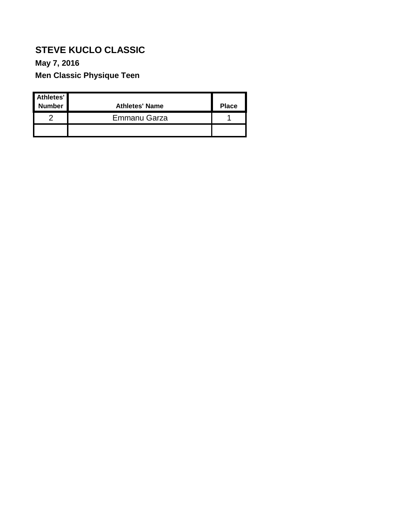### **May 7, 2016**

**Men Classic Physique Teen**

| Athletes'<br><b>Number</b> | <b>Athletes' Name</b> | <b>Place</b> |
|----------------------------|-----------------------|--------------|
|                            | Emmanu Garza          |              |
|                            |                       |              |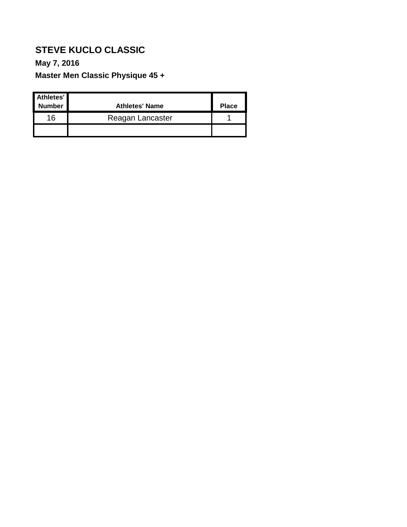## **May 7, 2016**

**Master Men Classic Physique 45 +**

| Athletes'<br><b>Number</b> | <b>Athletes' Name</b> | <b>Place</b> |
|----------------------------|-----------------------|--------------|
| 16                         | Reagan Lancaster      |              |
|                            |                       |              |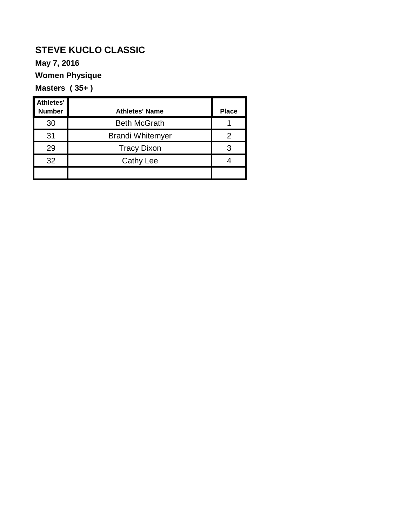**May 7, 2016**

**Women Physique**

**Masters ( 35+ )**

| <b>Athletes'</b><br><b>Number</b> | <b>Athletes' Name</b>   | <b>Place</b> |
|-----------------------------------|-------------------------|--------------|
| 30                                | <b>Beth McGrath</b>     |              |
| 31                                | <b>Brandi Whitemyer</b> |              |
| 29                                | <b>Tracy Dixon</b>      |              |
| 32                                | <b>Cathy Lee</b>        |              |
|                                   |                         |              |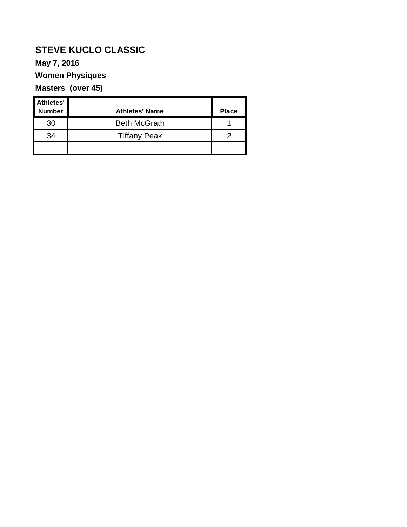#### **May 7, 2016**

### **Women Physiques**

### **Masters (over 45)**

| Athletes' |                       |              |
|-----------|-----------------------|--------------|
| Number    | <b>Athletes' Name</b> | <b>Place</b> |
| 30        | <b>Beth McGrath</b>   |              |
| 34        | <b>Tiffany Peak</b>   |              |
|           |                       |              |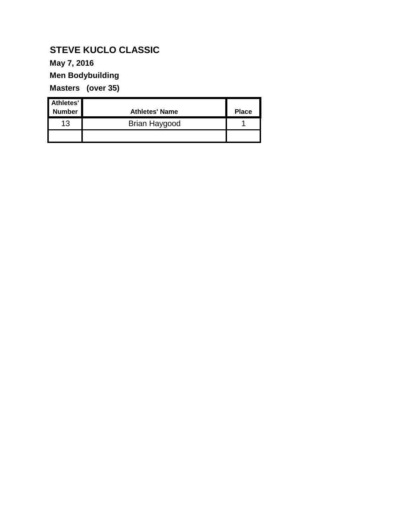### **May 7, 2016**

### **Men Bodybuilding**

**Masters (over 35)**

| Athletes'<br><b>Number</b> | <b>Athletes' Name</b> | <b>Place</b> |
|----------------------------|-----------------------|--------------|
| 13                         | Brian Haygood         |              |
|                            |                       |              |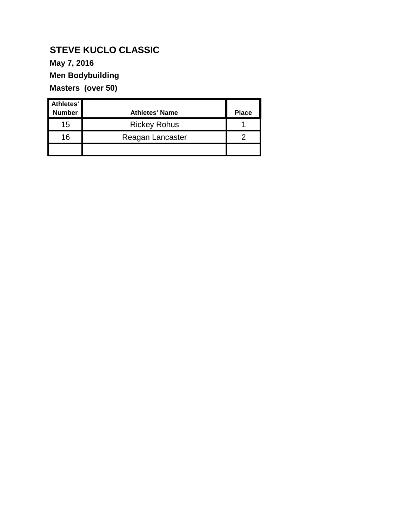#### **May 7, 2016**

### **Men Bodybuilding**

**Masters (over 50)**

| Athletes'<br><b>Number</b> | <b>Athletes' Name</b> | <b>Place</b> |
|----------------------------|-----------------------|--------------|
| 15                         | <b>Rickey Rohus</b>   |              |
| 16                         | Reagan Lancaster      |              |
|                            |                       |              |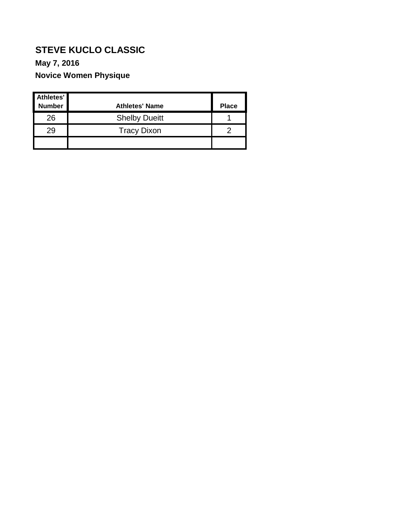### **May 7, 2016**

### **Novice Women Physique**

| Athletes'<br><b>Number</b> | <b>Athletes' Name</b> | <b>Place</b> |
|----------------------------|-----------------------|--------------|
| 26                         | <b>Shelby Dueitt</b>  |              |
| 29                         | <b>Tracy Dixon</b>    |              |
|                            |                       |              |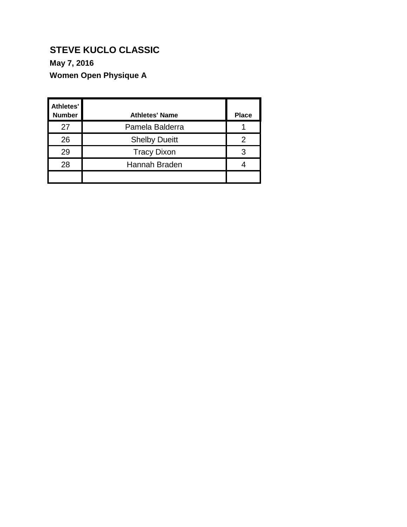### **May 7, 2016**

**Women Open Physique A**

| <b>Athletes'</b><br><b>Number</b> | <b>Athletes' Name</b> | <b>Place</b> |
|-----------------------------------|-----------------------|--------------|
| 27                                | Pamela Balderra       |              |
| 26                                | <b>Shelby Dueitt</b>  | 2            |
| 29                                | <b>Tracy Dixon</b>    | 3            |
| 28                                | Hannah Braden         |              |
|                                   |                       |              |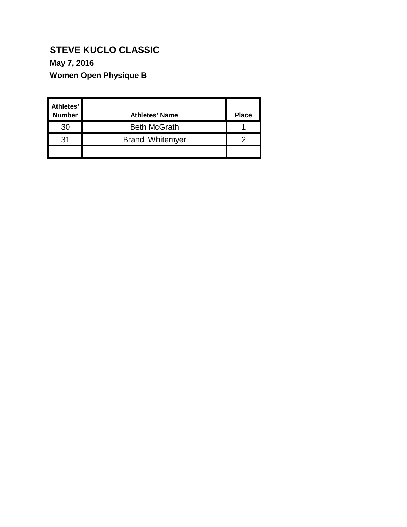### **May 7, 2016**

**Women Open Physique B**

| Athletes'<br><b>Number</b> | <b>Athletes' Name</b>   | <b>Place</b> |
|----------------------------|-------------------------|--------------|
| 30                         | <b>Beth McGrath</b>     |              |
| 31                         | <b>Brandi Whitemyer</b> |              |
|                            |                         |              |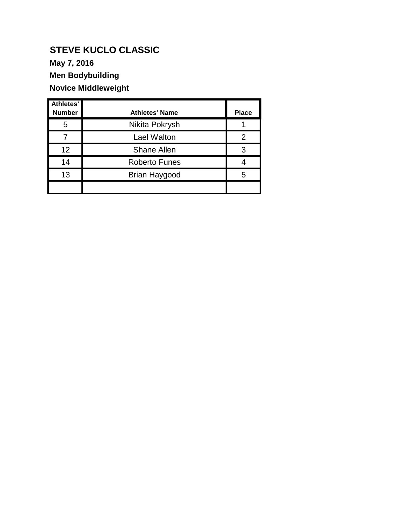**May 7, 2016**

**Men Bodybuilding**

### **Novice Middleweight**

| Athletes'<br><b>Number</b> | <b>Athletes' Name</b> | <b>Place</b> |
|----------------------------|-----------------------|--------------|
| 5                          | Nikita Pokrysh        |              |
|                            | Lael Walton           | 2            |
| 12                         | <b>Shane Allen</b>    | 3            |
| 14                         | <b>Roberto Funes</b>  |              |
| 13                         | Brian Haygood         | 5            |
|                            |                       |              |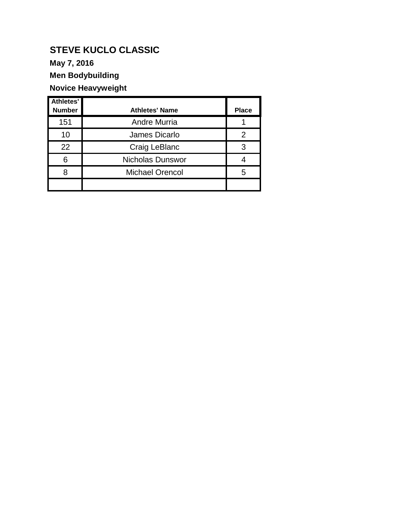**May 7, 2016**

**Men Bodybuilding**

### **Novice Heavyweight**

| Athletes'<br><b>Number</b> | <b>Athletes' Name</b>   | <b>Place</b> |
|----------------------------|-------------------------|--------------|
| 151                        | <b>Andre Murria</b>     |              |
| 10                         | James Dicarlo           | 2            |
| 22                         | Craig LeBlanc           | 3            |
| 6                          | <b>Nicholas Dunswor</b> |              |
| R                          | <b>Michael Orencol</b>  | 5            |
|                            |                         |              |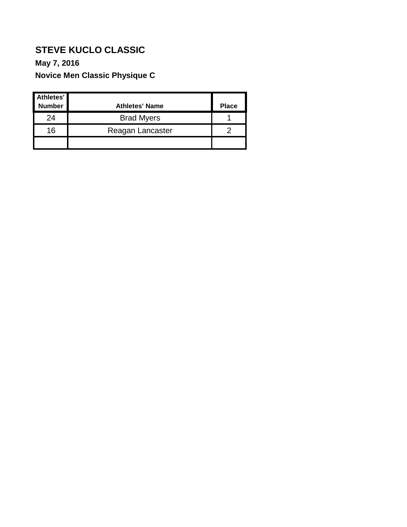## **May 7, 2016**

**Novice Men Classic Physique C**

| Athletes'<br><b>Number</b> | <b>Athletes' Name</b> | <b>Place</b> |
|----------------------------|-----------------------|--------------|
| 24                         | <b>Brad Myers</b>     |              |
| 16                         | Reagan Lancaster      |              |
|                            |                       |              |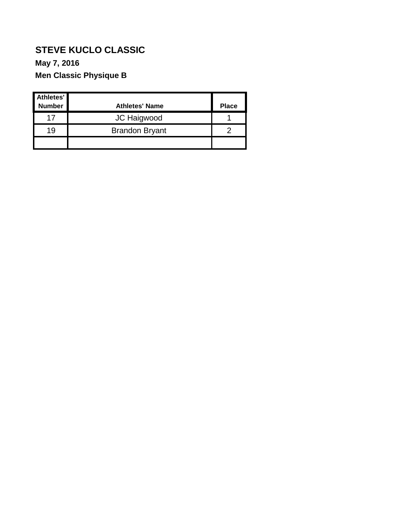### **May 7, 2016**

### **Men Classic Physique B**

| Athletes'<br><b>Number</b> | <b>Athletes' Name</b> | <b>Place</b> |
|----------------------------|-----------------------|--------------|
| 17                         | JC Haigwood           |              |
| 19                         | <b>Brandon Bryant</b> |              |
|                            |                       |              |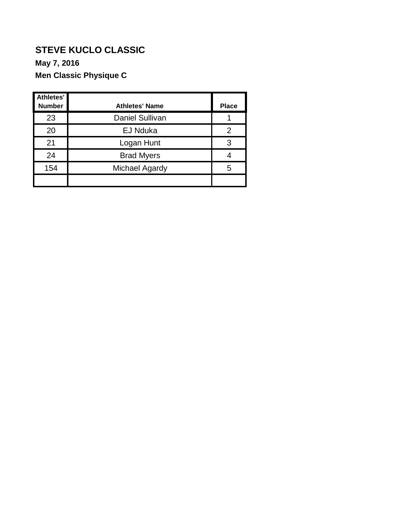### **May 7, 2016**

### **Men Classic Physique C**

| Athletes'<br><b>Number</b> | <b>Athletes' Name</b>  | <b>Place</b> |
|----------------------------|------------------------|--------------|
| 23                         | <b>Daniel Sullivan</b> |              |
| 20                         | <b>EJ Nduka</b>        |              |
| 21                         | Logan Hunt             |              |
| 24                         | <b>Brad Myers</b>      |              |
| 154                        | Michael Agardy         | 5            |
|                            |                        |              |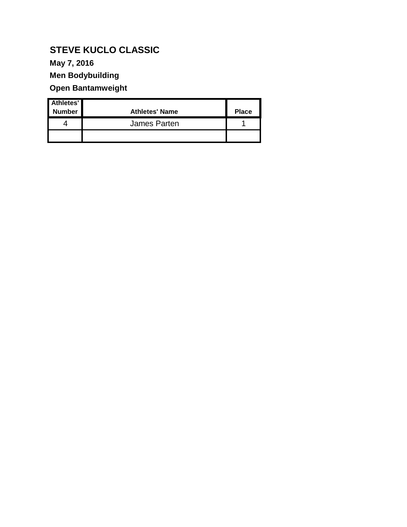**May 7, 2016**

**Men Bodybuilding**

**Open Bantamweight**

| Athletes'<br><b>Number</b> | <b>Athletes' Name</b> | <b>Place</b> |
|----------------------------|-----------------------|--------------|
|                            | James Parten          |              |
|                            |                       |              |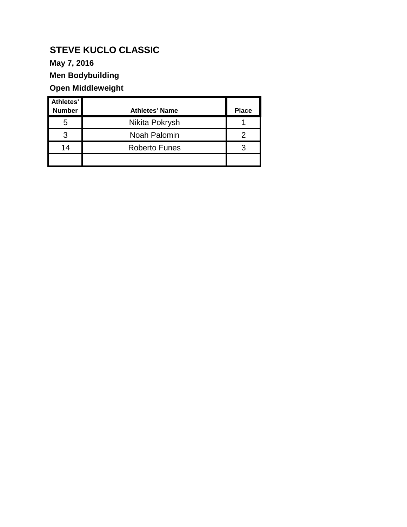**May 7, 2016**

**Men Bodybuilding**

### **Open Middleweight**

| Athletes'<br><b>Number</b> | <b>Athletes' Name</b> | <b>Place</b> |
|----------------------------|-----------------------|--------------|
| 5                          | Nikita Pokrysh        |              |
| З                          | Noah Palomin          |              |
| 14                         | <b>Roberto Funes</b>  |              |
|                            |                       |              |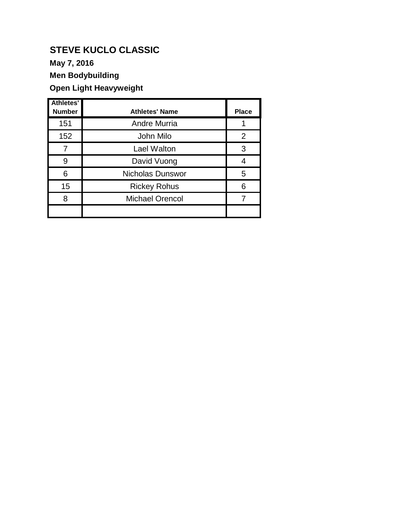**May 7, 2016**

### **Men Bodybuilding**

### **Open Light Heavyweight**

| <b>Athletes'</b><br><b>Number</b> | <b>Athletes' Name</b>   | <b>Place</b>   |
|-----------------------------------|-------------------------|----------------|
| 151                               | <b>Andre Murria</b>     |                |
| 152                               | John Milo               | $\overline{2}$ |
| 7                                 | Lael Walton             | 3              |
| 9                                 | David Vuong             |                |
| 6                                 | <b>Nicholas Dunswor</b> | 5              |
| 15                                | <b>Rickey Rohus</b>     | 6              |
| 8                                 | <b>Michael Orencol</b>  |                |
|                                   |                         |                |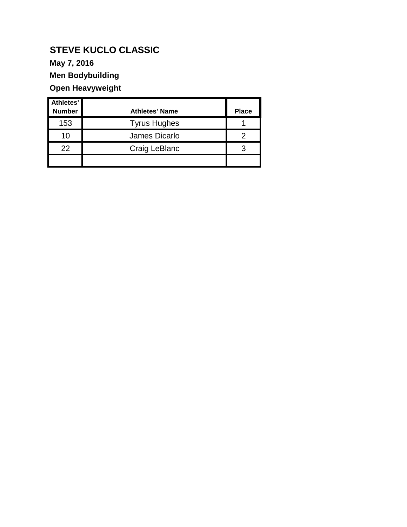**May 7, 2016**

**Men Bodybuilding**

### **Open Heavyweight**

| Athletes'     |                       |              |
|---------------|-----------------------|--------------|
| <b>Number</b> | <b>Athletes' Name</b> | <b>Place</b> |
| 153           | <b>Tyrus Hughes</b>   |              |
| 10            | James Dicarlo         |              |
| 22            | Craig LeBlanc         |              |
|               |                       |              |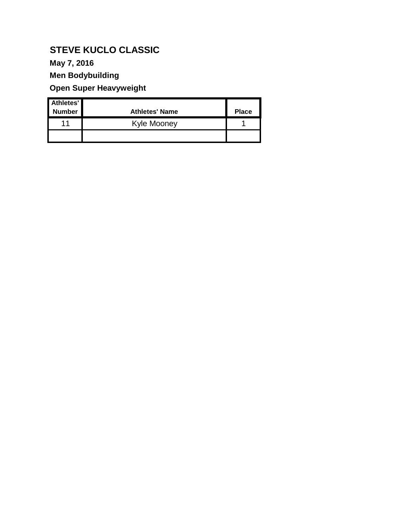**May 7, 2016**

**Men Bodybuilding**

### **Open Super Heavyweight**

| Athletes'<br><b>Number</b> | <b>Athletes' Name</b> | <b>Place</b> |
|----------------------------|-----------------------|--------------|
| 11                         | Kyle Mooney           |              |
|                            |                       |              |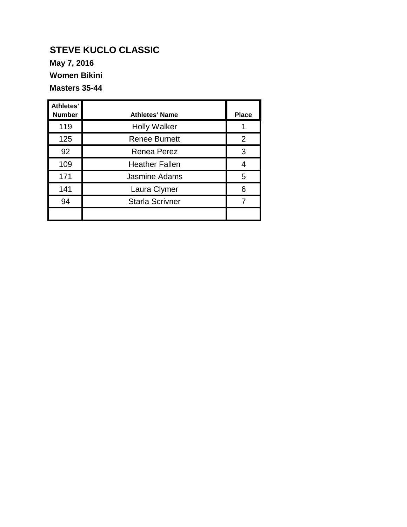**May 7, 2016**

**Women Bikini** 

**Masters 35-44**

| <b>Athletes'</b><br><b>Number</b> | <b>Athletes' Name</b>  | <b>Place</b> |
|-----------------------------------|------------------------|--------------|
| 119                               | <b>Holly Walker</b>    |              |
| 125                               | <b>Renee Burnett</b>   | 2            |
| 92                                | <b>Renea Perez</b>     | 3            |
| 109                               | <b>Heather Fallen</b>  |              |
| 171                               | <b>Jasmine Adams</b>   | 5            |
| 141                               | Laura Clymer           | 6            |
| 94                                | <b>Starla Scrivner</b> |              |
|                                   |                        |              |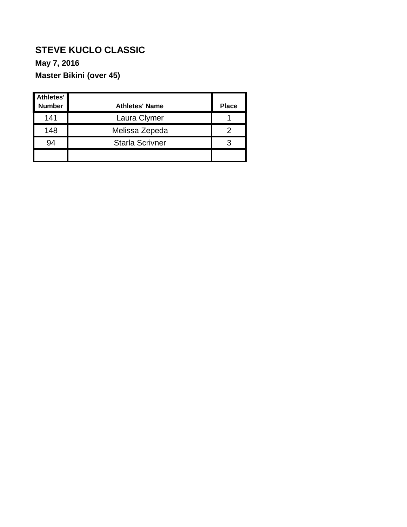### **May 7, 2016**

**Master Bikini (over 45)**

| Athletes'<br><b>Number</b> | <b>Athletes' Name</b>  | <b>Place</b> |
|----------------------------|------------------------|--------------|
| 141                        | Laura Clymer           |              |
| 148                        | Melissa Zepeda         |              |
| 94                         | <b>Starla Scrivner</b> |              |
|                            |                        |              |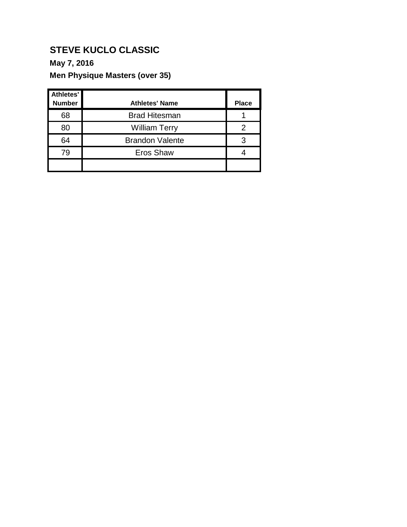### **May 7, 2016**

### **Men Physique Masters (over 35)**

| <b>Athletes'</b> |                        |              |
|------------------|------------------------|--------------|
| <b>Number</b>    | <b>Athletes' Name</b>  | <b>Place</b> |
| 68               | <b>Brad Hitesman</b>   |              |
| 80               | <b>William Terry</b>   |              |
| 64               | <b>Brandon Valente</b> |              |
| 79               | <b>Eros Shaw</b>       |              |
|                  |                        |              |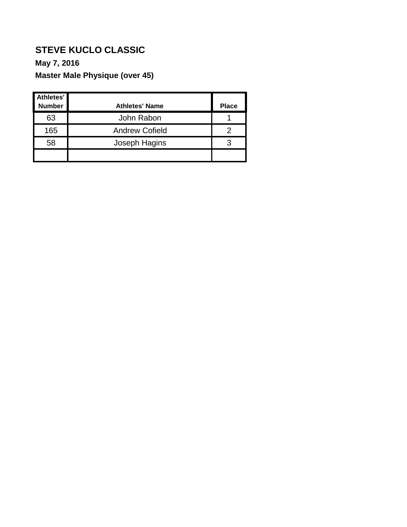#### **May 7, 2016**

### **Master Male Physique (over 45)**

| Athletes'     |                       |              |
|---------------|-----------------------|--------------|
| <b>Number</b> | <b>Athletes' Name</b> | <b>Place</b> |
| 63            | John Rabon            |              |
| 165           | <b>Andrew Cofield</b> |              |
| 58            | Joseph Hagins         |              |
|               |                       |              |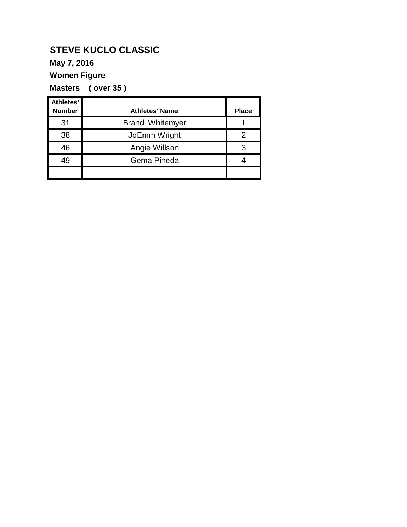### **May 7, 2016**

**Women Figure**

**Masters ( over 35 )**

| Athletes'<br><b>Number</b> | <b>Athletes' Name</b>   | <b>Place</b> |
|----------------------------|-------------------------|--------------|
| 31                         | <b>Brandi Whitemyer</b> |              |
| 38                         | JoEmm Wright            |              |
|                            |                         |              |
| 46                         | Angie Willson           |              |
| 49                         | Gema Pineda             |              |
|                            |                         |              |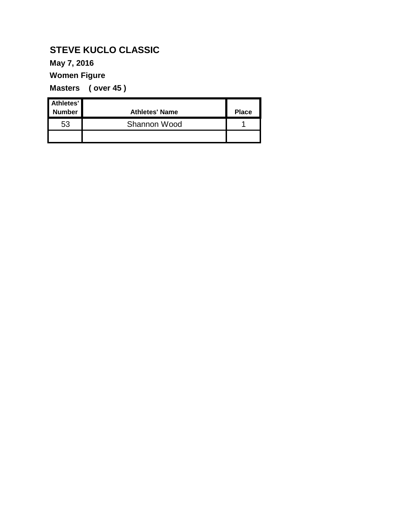### **May 7, 2016**

**Women Figure**

**Masters ( over 45 )**

| Athletes'<br><b>Number</b> | <b>Athletes' Name</b> | <b>Place</b> |
|----------------------------|-----------------------|--------------|
| 53                         | Shannon Wood          |              |
|                            |                       |              |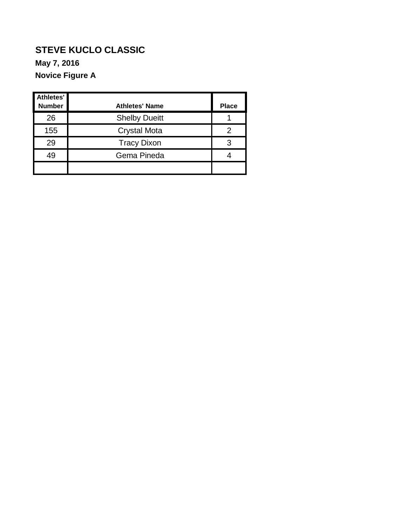**Novice Figure A**

| Athletes'<br><b>Number</b> | <b>Athletes' Name</b> | <b>Place</b> |
|----------------------------|-----------------------|--------------|
| 26                         | <b>Shelby Dueitt</b>  |              |
| 155                        | <b>Crystal Mota</b>   |              |
| 29                         | <b>Tracy Dixon</b>    |              |
| 49                         | Gema Pineda           |              |
|                            |                       |              |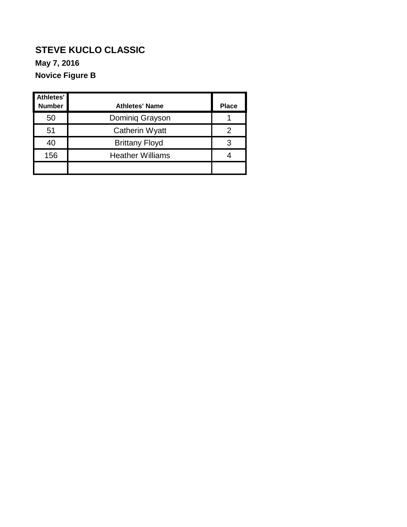### **STEVE KUCLO CLASSIC Novice Figure B May 7, 2016**

| Athletes'<br><b>Number</b> | <b>Athletes' Name</b>   | <b>Place</b> |
|----------------------------|-------------------------|--------------|
| 50                         | Dominiq Grayson         |              |
| 51                         | Catherin Wyatt          |              |
| 40                         | <b>Brittany Floyd</b>   |              |
| 156                        | <b>Heather Williams</b> |              |
|                            |                         |              |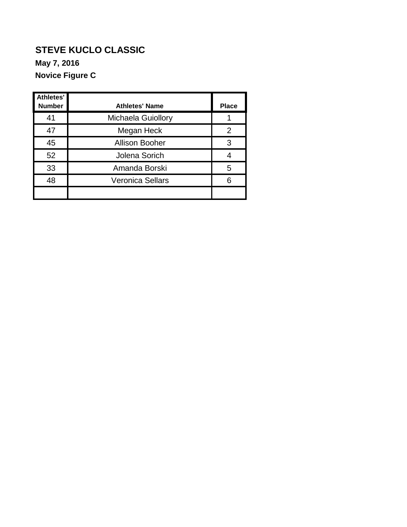**May 7, 2016**

**Novice Figure C**

| Athletes'<br><b>Number</b> | <b>Athletes' Name</b>     | <b>Place</b> |
|----------------------------|---------------------------|--------------|
| 41                         | <b>Michaela Guiollory</b> |              |
| 47                         | Megan Heck                | 2            |
| 45                         | <b>Allison Booher</b>     | 3            |
| 52                         | Jolena Sorich             |              |
| 33                         | Amanda Borski             | 5            |
| 48                         | <b>Veronica Sellars</b>   |              |
|                            |                           |              |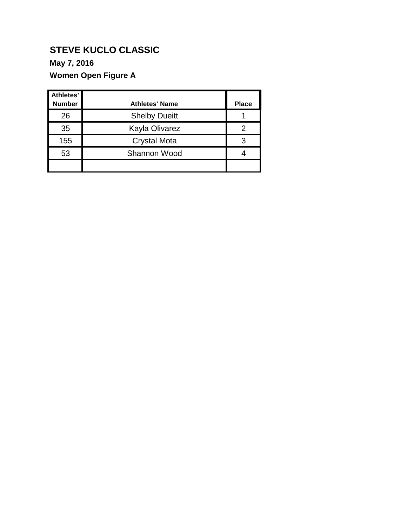### **May 7, 2016**

### **Women Open Figure A**

| Athletes'<br><b>Number</b> | <b>Athletes' Name</b> | <b>Place</b> |
|----------------------------|-----------------------|--------------|
| 26                         | <b>Shelby Dueitt</b>  |              |
| 35                         | Kayla Olivarez        |              |
| 155                        | <b>Crystal Mota</b>   |              |
| 53                         | Shannon Wood          |              |
|                            |                       |              |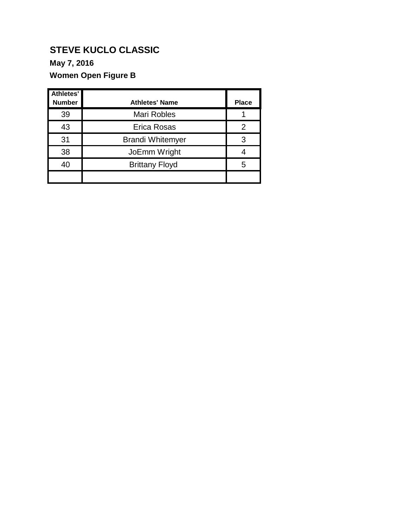### **May 7, 2016**

### **Women Open Figure B**

| Athletes'<br><b>Number</b> | <b>Athletes' Name</b>   | <b>Place</b> |
|----------------------------|-------------------------|--------------|
| 39                         | <b>Mari Robles</b>      |              |
| 43                         | Erica Rosas             | 2            |
| 31                         | <b>Brandi Whitemyer</b> | 3            |
| 38                         | JoEmm Wright            |              |
| 40                         | <b>Brittany Floyd</b>   | 5            |
|                            |                         |              |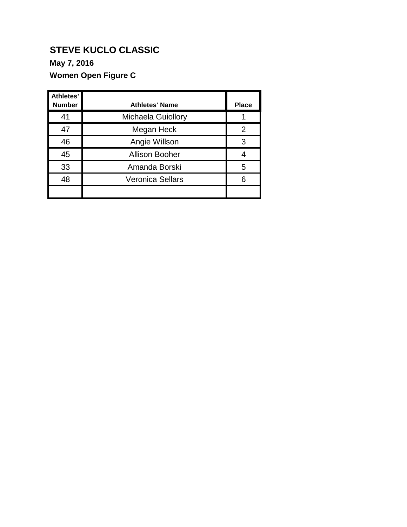### **May 7, 2016**

### **Women Open Figure C**

| <b>Athletes'</b><br><b>Number</b> | <b>Athletes' Name</b>     | <b>Place</b> |
|-----------------------------------|---------------------------|--------------|
| 41                                | <b>Michaela Guiollory</b> |              |
| 47                                | Megan Heck                | 2            |
| 46                                | Angie Willson             | 3            |
| 45                                | <b>Allison Booher</b>     |              |
| 33                                | Amanda Borski             | 5            |
| 48                                | <b>Veronica Sellars</b>   | 6            |
|                                   |                           |              |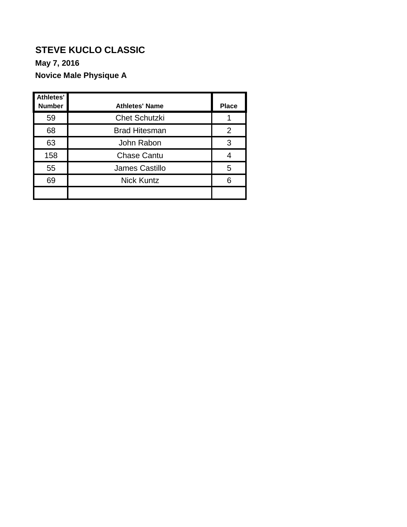#### **May 7, 2016**

### **Novice Male Physique A**

| Athletes'<br><b>Number</b> | <b>Athletes' Name</b> | <b>Place</b> |
|----------------------------|-----------------------|--------------|
| 59                         | <b>Chet Schutzki</b>  |              |
| 68                         | <b>Brad Hitesman</b>  | 2            |
| 63                         | John Rabon            | 3            |
| 158                        | <b>Chase Cantu</b>    |              |
| 55                         | <b>James Castillo</b> | 5            |
| 69                         | <b>Nick Kuntz</b>     |              |
|                            |                       |              |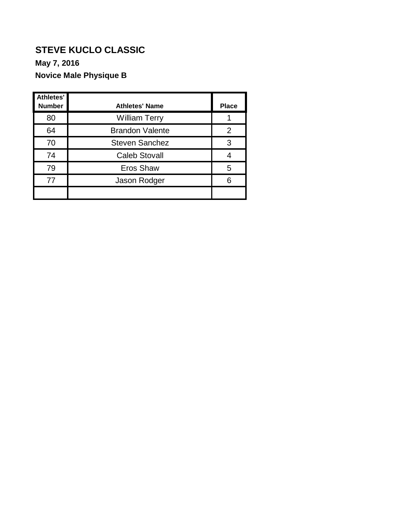#### **May 7, 2016**

### **Novice Male Physique B**

| Athletes'<br><b>Number</b> | <b>Athletes' Name</b>  | <b>Place</b> |
|----------------------------|------------------------|--------------|
| 80                         | <b>William Terry</b>   |              |
| 64                         | <b>Brandon Valente</b> | 2            |
| 70                         | <b>Steven Sanchez</b>  | 3            |
| 74                         | <b>Caleb Stovall</b>   |              |
| 79                         | Eros Shaw              | 5            |
| 77                         | Jason Rodger           |              |
|                            |                        |              |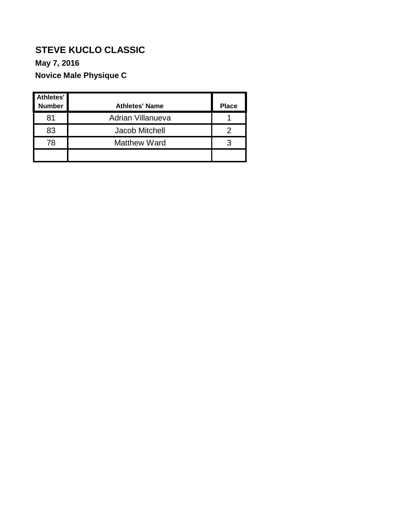#### **May 7, 2016**

### **Novice Male Physique C**

| Athletes'<br><b>Number</b> | <b>Athletes' Name</b>    | <b>Place</b> |
|----------------------------|--------------------------|--------------|
| 81                         | <b>Adrian Villanueva</b> |              |
| 83                         | Jacob Mitchell           |              |
| 78                         | <b>Matthew Ward</b>      |              |
|                            |                          |              |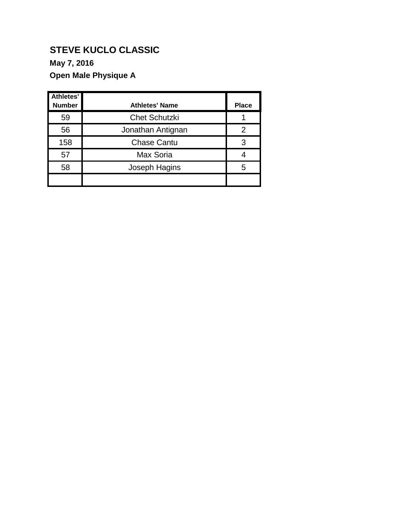### **May 7, 2016**

### **Open Male Physique A**

| <b>Athletes'</b><br><b>Number</b> | <b>Athletes' Name</b> | <b>Place</b> |
|-----------------------------------|-----------------------|--------------|
| 59                                | <b>Chet Schutzki</b>  |              |
| 56                                | Jonathan Antignan     | 2            |
| 158                               | <b>Chase Cantu</b>    | 3            |
| 57                                | Max Soria             |              |
| 58                                | Joseph Hagins         | 5            |
|                                   |                       |              |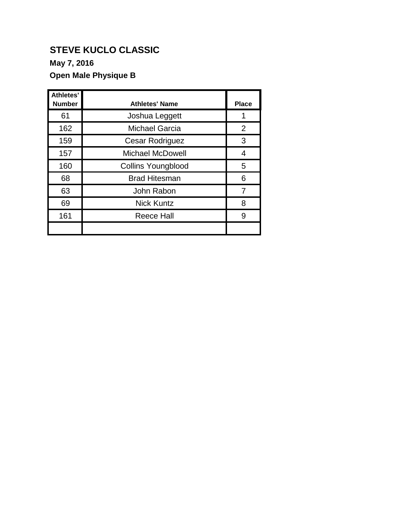**May 7, 2016**

### **Open Male Physique B**

| <b>Athletes'</b><br><b>Number</b> | <b>Athletes' Name</b>     | <b>Place</b>   |
|-----------------------------------|---------------------------|----------------|
| 61                                | Joshua Leggett            |                |
| 162                               | <b>Michael Garcia</b>     | $\overline{2}$ |
| 159                               | <b>Cesar Rodriguez</b>    | 3              |
| 157                               | <b>Michael McDowell</b>   | 4              |
| 160                               | <b>Collins Youngblood</b> | 5              |
| 68                                | <b>Brad Hitesman</b>      | 6              |
| 63                                | John Rabon                | 7              |
| 69                                | <b>Nick Kuntz</b>         | 8              |
| 161                               | <b>Reece Hall</b>         | 9              |
|                                   |                           |                |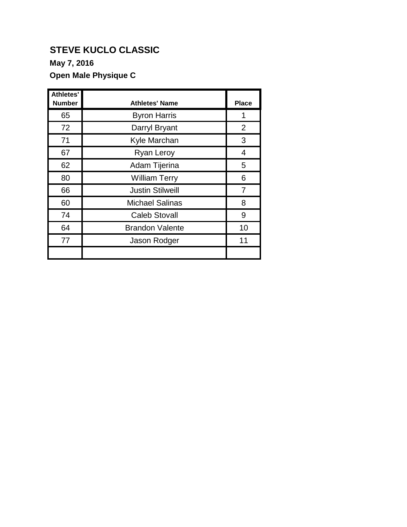**May 7, 2016**

### **Open Male Physique C**

| <b>Athletes'</b><br><b>Number</b> | <b>Athletes' Name</b>   | <b>Place</b> |
|-----------------------------------|-------------------------|--------------|
| 65                                | <b>Byron Harris</b>     | 1            |
| 72                                | Darryl Bryant           | 2            |
| 71                                | Kyle Marchan            | 3            |
| 67                                | <b>Ryan Leroy</b>       | 4            |
| 62                                | Adam Tijerina           | 5            |
| 80                                | <b>William Terry</b>    | 6            |
| 66                                | <b>Justin Stilweill</b> | 7            |
| 60                                | <b>Michael Salinas</b>  | 8            |
| 74                                | <b>Caleb Stovall</b>    | 9            |
| 64                                | <b>Brandon Valente</b>  | 10           |
| 77                                | Jason Rodger            | 11           |
|                                   |                         |              |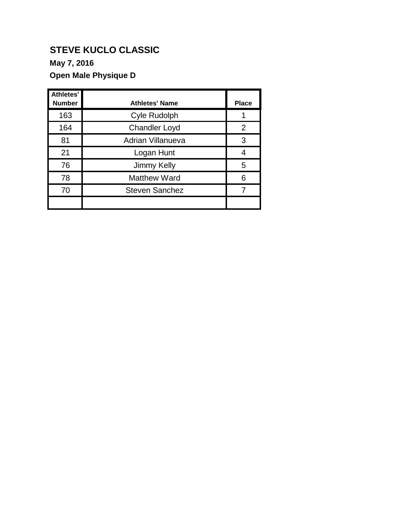### **May 7, 2016**

### **Open Male Physique D**

| Athletes'<br><b>Number</b> | <b>Athletes' Name</b>    | <b>Place</b> |
|----------------------------|--------------------------|--------------|
|                            |                          |              |
| 163                        | <b>Cyle Rudolph</b>      |              |
| 164                        | <b>Chandler Loyd</b>     | 2            |
| 81                         | <b>Adrian Villanueva</b> | 3            |
| 21                         | Logan Hunt               |              |
| 76                         | Jimmy Kelly              | 5            |
| 78                         | <b>Matthew Ward</b>      | 6            |
| 70                         | <b>Steven Sanchez</b>    |              |
|                            |                          |              |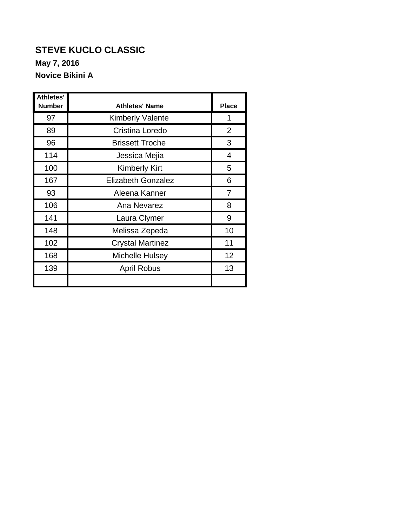**Novice Bikini A**

| Athletes'<br><b>Number</b> | <b>Athletes' Name</b>     | <b>Place</b>   |
|----------------------------|---------------------------|----------------|
| 97                         | <b>Kimberly Valente</b>   | 1              |
| 89                         | Cristina Loredo           | $\overline{2}$ |
| 96                         | <b>Brissett Troche</b>    | 3              |
| 114                        | Jessica Mejia             | 4              |
| 100                        | <b>Kimberly Kirt</b>      | 5              |
| 167                        | <b>Elizabeth Gonzalez</b> | 6              |
| 93                         | Aleena Kanner             | 7              |
| 106                        | Ana Nevarez               | 8              |
| 141                        | Laura Clymer              | 9              |
| 148                        | Melissa Zepeda            | 10             |
| 102                        | <b>Crystal Martinez</b>   | 11             |
| 168                        | Michelle Hulsey           | 12             |
| 139                        | <b>April Robus</b>        | 13             |
|                            |                           |                |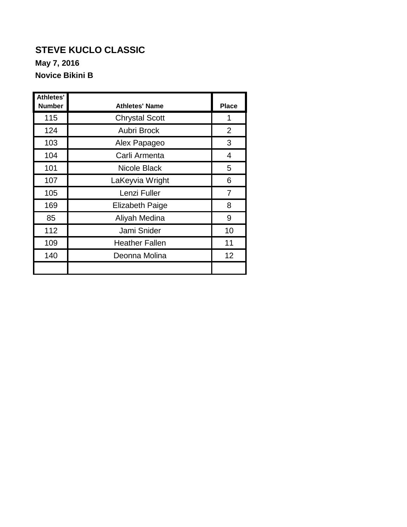**Novice Bikini B**

| Athletes'<br><b>Number</b> | <b>Athletes' Name</b>  | <b>Place</b> |
|----------------------------|------------------------|--------------|
| 115                        | <b>Chrystal Scott</b>  | 1            |
| 124                        | Aubri Brock            | 2            |
| 103                        | Alex Papageo           | 3            |
| 104                        | Carli Armenta          | 4            |
| 101                        | Nicole Black           | 5            |
| 107                        | LaKeyvia Wright        | 6            |
| 105                        | Lenzi Fuller           | 7            |
| 169                        | <b>Elizabeth Paige</b> | 8            |
| 85                         | Aliyah Medina          | 9            |
| 112                        | Jami Snider            | 10           |
| 109                        | <b>Heather Fallen</b>  | 11           |
| 140                        | Deonna Molina          | 12           |
|                            |                        |              |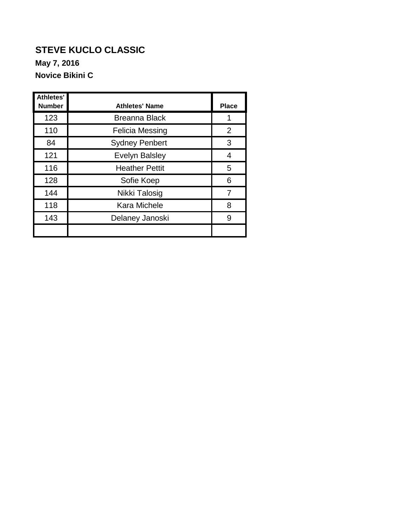**Novice Bikini C**

| <b>Athletes'</b><br><b>Number</b> | <b>Athletes' Name</b>  | <b>Place</b> |
|-----------------------------------|------------------------|--------------|
| 123                               | <b>Breanna Black</b>   |              |
| 110                               | <b>Felicia Messing</b> | 2            |
| 84                                | <b>Sydney Penbert</b>  | 3            |
| 121                               | <b>Evelyn Balsley</b>  | 4            |
| 116                               | <b>Heather Pettit</b>  | 5            |
| 128                               | Sofie Koep             | 6            |
| 144                               | Nikki Talosig          | 7            |
| 118                               | <b>Kara Michele</b>    | 8            |
| 143                               | Delaney Janoski        | 9            |
|                                   |                        |              |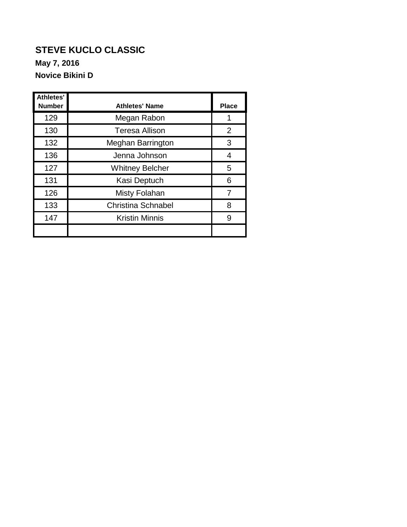### **STEVE KUCLO CLASSIC Novice Bikini D May 7, 2016**

| Athletes'<br><b>Number</b> | <b>Athletes' Name</b>     | <b>Place</b> |
|----------------------------|---------------------------|--------------|
| 129                        | Megan Rabon               |              |
| 130                        | <b>Teresa Allison</b>     | 2            |
| 132                        | <b>Meghan Barrington</b>  | 3            |
| 136                        | Jenna Johnson             | 4            |
| 127                        | <b>Whitney Belcher</b>    | 5            |
| 131                        | Kasi Deptuch              | 6            |
| 126                        | <b>Misty Folahan</b>      |              |
| 133                        | <b>Christina Schnabel</b> | 8            |
| 147                        | <b>Kristin Minnis</b>     | 9            |
|                            |                           |              |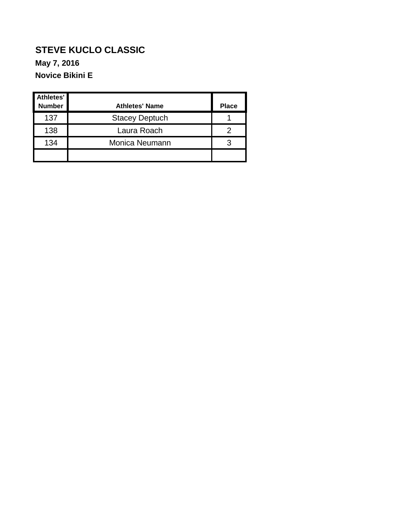### **STEVE KUCLO CLASSIC Novice Bikini E May 7, 2016**

| Athletes'<br><b>Number</b> | <b>Athletes' Name</b> | <b>Place</b> |
|----------------------------|-----------------------|--------------|
| 137                        | <b>Stacey Deptuch</b> |              |
| 138                        | Laura Roach           |              |
| 134                        | Monica Neumann        |              |
|                            |                       |              |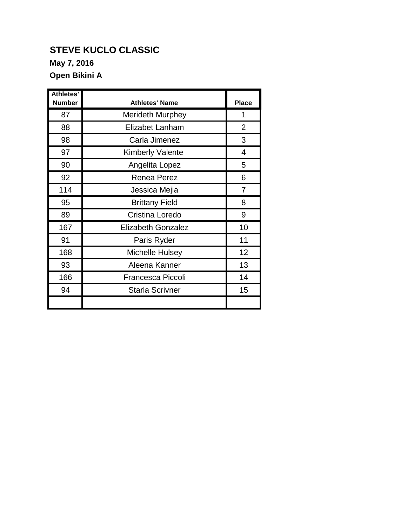**May 7, 2016**

**Open Bikini A**

| Athletes'<br><b>Number</b> | <b>Athletes' Name</b>     | <b>Place</b>   |
|----------------------------|---------------------------|----------------|
| 87                         | <b>Merideth Murphey</b>   | 1              |
| 88                         | Elizabet Lanham           | $\overline{2}$ |
| 98                         | Carla Jimenez             | 3              |
| 97                         | <b>Kimberly Valente</b>   | 4              |
| 90                         | Angelita Lopez            | 5              |
| 92                         | Renea Perez               | 6              |
| 114                        | Jessica Mejia             | $\overline{7}$ |
| 95                         | <b>Brittany Field</b>     | 8              |
| 89                         | Cristina Loredo           | 9              |
| 167                        | <b>Elizabeth Gonzalez</b> | 10             |
| 91                         | Paris Ryder               | 11             |
| 168                        | <b>Michelle Hulsey</b>    | 12             |
| 93                         | Aleena Kanner             | 13             |
| 166                        | <b>Francesca Piccoli</b>  | 14             |
| 94                         | <b>Starla Scrivner</b>    | 15             |
|                            |                           |                |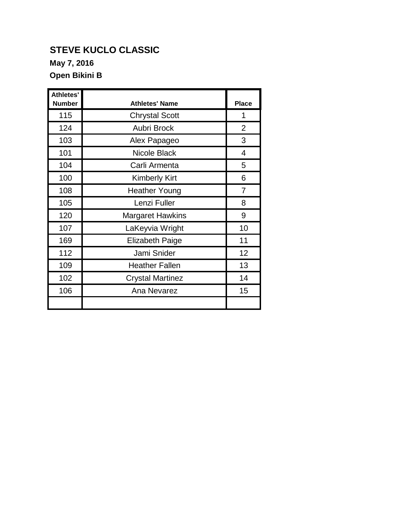**May 7, 2016**

**Open Bikini B**

| Athletes'<br><b>Number</b> | <b>Athletes' Name</b>   | <b>Place</b>   |
|----------------------------|-------------------------|----------------|
| 115                        | <b>Chrystal Scott</b>   | 1              |
| 124                        | <b>Aubri Brock</b>      | $\overline{2}$ |
| 103                        | Alex Papageo            | 3              |
| 101                        | Nicole Black            | 4              |
| 104                        | Carli Armenta           | 5              |
| 100                        | <b>Kimberly Kirt</b>    | 6              |
| 108                        | <b>Heather Young</b>    | $\overline{7}$ |
| 105                        | Lenzi Fuller            | 8              |
| 120                        | <b>Margaret Hawkins</b> | 9              |
| 107                        | LaKeyvia Wright         | 10             |
| 169                        | <b>Elizabeth Paige</b>  | 11             |
| 112                        | Jami Snider             | 12             |
| 109                        | <b>Heather Fallen</b>   | 13             |
| 102                        | <b>Crystal Martinez</b> | 14             |
| 106                        | Ana Nevarez             | 15             |
|                            |                         |                |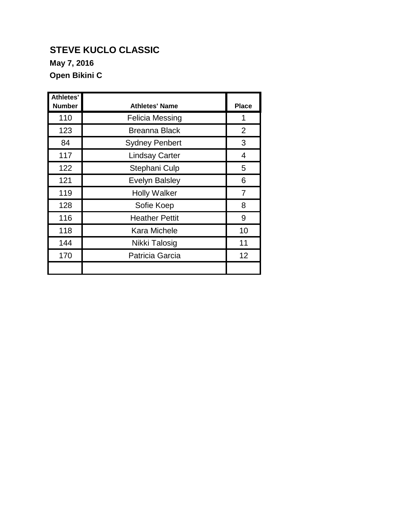**May 7, 2016**

**Open Bikini C**

| <b>Athletes'</b><br><b>Number</b> | <b>Athletes' Name</b>  | <b>Place</b> |
|-----------------------------------|------------------------|--------------|
| 110                               | <b>Felicia Messing</b> | 1            |
| 123                               | <b>Breanna Black</b>   | 2            |
| 84                                | <b>Sydney Penbert</b>  | 3            |
| 117                               | <b>Lindsay Carter</b>  | 4            |
| 122                               | Stephani Culp          | 5            |
| 121                               | <b>Evelyn Balsley</b>  | 6            |
| 119                               | <b>Holly Walker</b>    | 7            |
| 128                               | Sofie Koep             | 8            |
| 116                               | <b>Heather Pettit</b>  | 9            |
| 118                               | Kara Michele           | 10           |
| 144                               | Nikki Talosig          | 11           |
| 170                               | Patricia Garcia        | 12           |
|                                   |                        |              |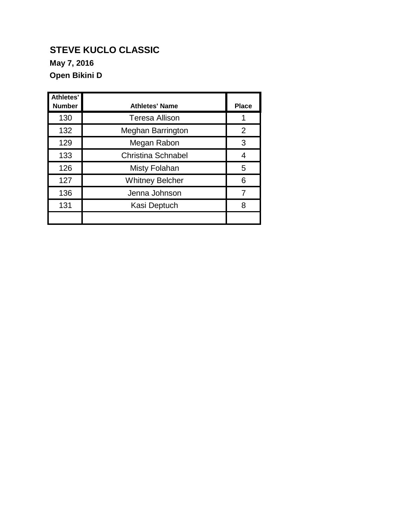**May 7, 2016**

**Open Bikini D**

| <b>Athletes'</b><br><b>Number</b> | <b>Athletes' Name</b>     | <b>Place</b> |
|-----------------------------------|---------------------------|--------------|
| 130                               | <b>Teresa Allison</b>     |              |
| 132                               | <b>Meghan Barrington</b>  | 2            |
| 129                               | Megan Rabon               | 3            |
| 133                               | <b>Christina Schnabel</b> | 4            |
| 126                               | Misty Folahan             | 5            |
| 127                               | <b>Whitney Belcher</b>    | 6            |
| 136                               | Jenna Johnson             |              |
| 131                               | Kasi Deptuch              | 8            |
|                                   |                           |              |